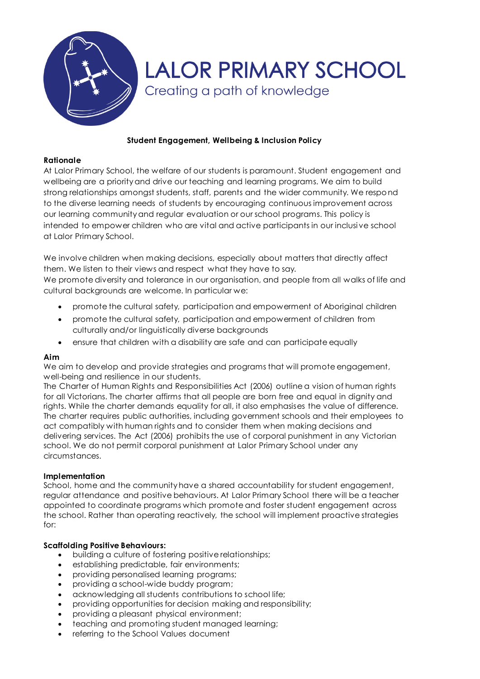

# **Student Engagement, Wellbeing & Inclusion Policy**

### **Rationale**

At Lalor Primary School, the welfare of our students is paramount. Student engagement and wellbeing are a priority and drive our teaching and learning programs. We aim to build strong relationships amongst students, staff, parents and the wider community. We respond to the diverse learning needs of students by encouraging continuous improvement across our learning community and regular evaluation or our school programs. This policy is intended to empower children who are vital and active participants in our inclusi ve school at Lalor Primary School.

We involve children when making decisions, especially about matters that directly affect them. We listen to their views and respect what they have to say. We promote diversity and tolerance in our organisation, and people from all walks of life and cultural backgrounds are welcome. In particular we:

- promote the cultural safety, participation and empowerment of Aboriginal children
- promote the cultural safety, participation and empowerment of children from culturally and/or linguistically diverse backgrounds
- ensure that children with a disability are safe and can participate equally

### **Aim**

We aim to develop and provide strategies and programs that will promote engagement, well-being and resilience in our students.

The Charter of Human Rights and Responsibilities Act (2006) outline a vision of human rights for all Victorians. The charter affirms that all people are born free and equal in dignity and rights. While the charter demands equality for all, it also emphasises the value of difference. The charter requires public authorities, including government schools and their employees to act compatibly with human rights and to consider them when making decisions and delivering services. The Act (2006) prohibits the use of corporal punishment in any Victorian school. We do not permit corporal punishment at Lalor Primary School under any circumstances.

### **Implementation**

School, home and the community have a shared accountability for student engagement, regular attendance and positive behaviours. At Lalor Primary School there will be a teacher appointed to coordinate programs which promote and foster student engagement across the school. Rather than operating reactively, the school will implement proactive strategies for:

### **Scaffolding Positive Behaviours:**

- building a culture of fostering positive relationships;
- establishing predictable, fair environments;
- providing personalised learning programs;
- providing a school-wide buddy program;
- acknowledging all students contributions to school life;
- providing opportunities for decision making and responsibility;
- providing a pleasant physical environment;
- teaching and promoting student managed learning;
- referring to the School Values document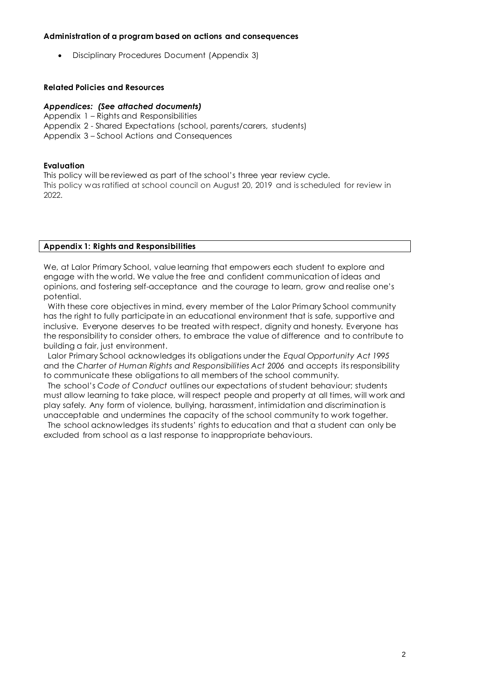#### **Administration of a program based on actions and consequences**

Disciplinary Procedures Document (Appendix 3)

#### **Related Policies and Resources**

#### *Appendices: (See attached documents)*

- Appendix 1 Rights and Responsibilities
- Appendix 2 Shared Expectations (school, parents/carers, students)
- Appendix 3 School Actions and Consequences

#### **Evaluation**

This policy will be reviewed as part of the school's three year review cycle. This policy was ratified at school council on August 20, 2019 and is scheduled for review in 2022.

#### **Appendix 1: Rights and Responsibilities**

We, at Lalor Primary School, value learning that empowers each student to explore and engage with the world. We value the free and confident communication of ideas and opinions, and fostering self-acceptance and the courage to learn, grow and realise one's potential.

 With these core objectives in mind, every member of the Lalor Primary School community has the right to fully participate in an educational environment that is safe, supportive and inclusive. Everyone deserves to be treated with respect, dignity and honesty. Everyone has the responsibility to consider others, to embrace the value of difference and to contribute to building a fair, just environment.

 Lalor Primary School acknowledges its obligations under the *Equal Opportunity Act 1995* and the *Charter of Human Rights and Responsibilities Act 2006* and accepts its responsibility to communicate these obligations to all members of the school community.

 The school's *Code of Conduct* outlines our expectations of student behaviour; students must allow learning to take place, will respect people and property at all times, will work and play safely. Any form of violence, bullying, harassment, intimidation and discrimination is unacceptable and undermines the capacity of the school community to work together.

 The school acknowledges its students' rights to education and that a student can only be excluded from school as a last response to inappropriate behaviours.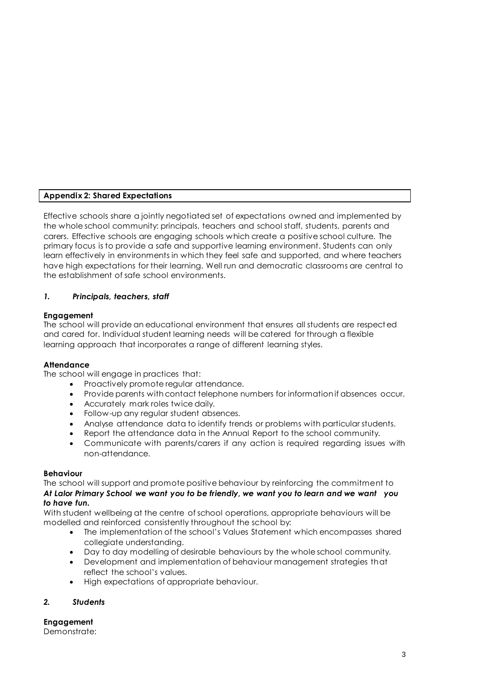# **Appendix 2: Shared Expectations**

Effective schools share a jointly negotiated set of expectations owned and implemented by the whole school community: principals, teachers and school staff, students, parents and carers. Effective schools are engaging schools which create a positive school culture. The primary focus is to provide a safe and supportive learning environment. Students can only learn effectively in environments in which they feel safe and supported, and where teachers have high expectations for their learning. Well run and democratic classrooms are central to the establishment of safe school environments.

## *1. Principals, teachers, staff*

### **Engagement**

The school will provide an educational environment that ensures all students are respect ed and cared for. Individual student learning needs will be catered for through a flexible learning approach that incorporates a range of different learning styles.

### **Attendance**

The school will engage in practices that:

- Proactively promote regular attendance.
- Provide parents with contact telephone numbers for information if absences occur.
- Accurately mark roles twice daily.
- Follow-up any regular student absences.
- Analyse attendance data to identify trends or problems with particular students.
- Report the attendance data in the Annual Report to the school community.
- Communicate with parents/carers if any action is required regarding issues with non-attendance.

### **Behaviour**

The school will support and promote positive behaviour by reinforcing the commitment to *At Lalor Primary School we want you to be friendly, we want you to learn and we want you to have fun.* 

With student wellbeing at the centre of school operations, appropriate behaviours will be modelled and reinforced consistently throughout the school by:

- The implementation of the school's Values Statement which encompasses shared collegiate understanding.
- Day to day modelling of desirable behaviours by the whole school community.
- Development and implementation of behaviour management strategies that reflect the school's values.
- $\bullet$  High expectations of appropriate behaviour.

# *2. Students*

**Engagement** Demonstrate: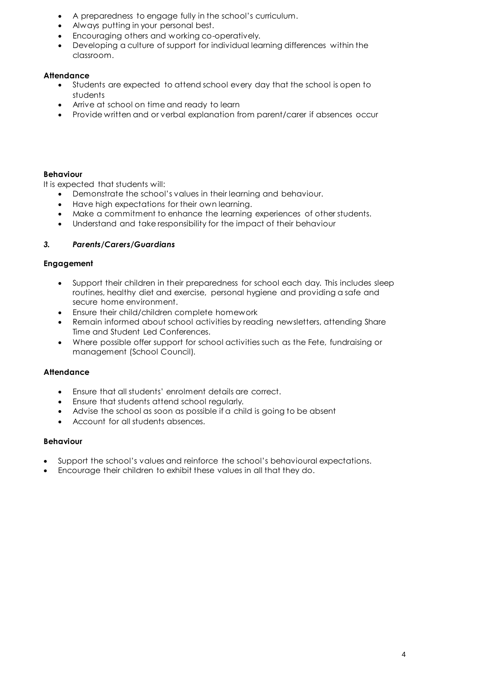- A preparedness to engage fully in the school's curriculum.
- Always putting in your personal best.
- Encouraging others and working co-operatively.
- Developing a culture of support for individual learning differences within the classroom.

### **Attendance**

- Students are expected to attend school every day that the school is open to students
- Arrive at school on time and ready to learn
- Provide written and or verbal explanation from parent/carer if absences occur

# **Behaviour**

It is expected that students will:

- Demonstrate the school's values in their learning and behaviour.
- Have high expectations for their own learning.
- Make a commitment to enhance the learning experiences of other students.
- Understand and take responsibility for the impact of their behaviour

## *3. Parents/Carers/Guardians*

### **Engagement**

- Support their children in their preparedness for school each day. This includes sleep routines, healthy diet and exercise, personal hygiene and providing a safe and secure home environment.
- Ensure their child/children complete homework
- Remain informed about school activities by reading newsletters, attending Share Time and Student Led Conferences.
- Where possible offer support for school activities such as the Fete, fundraising or management (School Council).

### **Attendance**

- Ensure that all students' enrolment details are correct.
- Ensure that students attend school regularly.
- Advise the school as soon as possible if a child is going to be absent
- Account for all students absences.

### **Behaviour**

- Support the school's values and reinforce the school's behavioural expectations.
- Encourage their children to exhibit these values in all that they do.